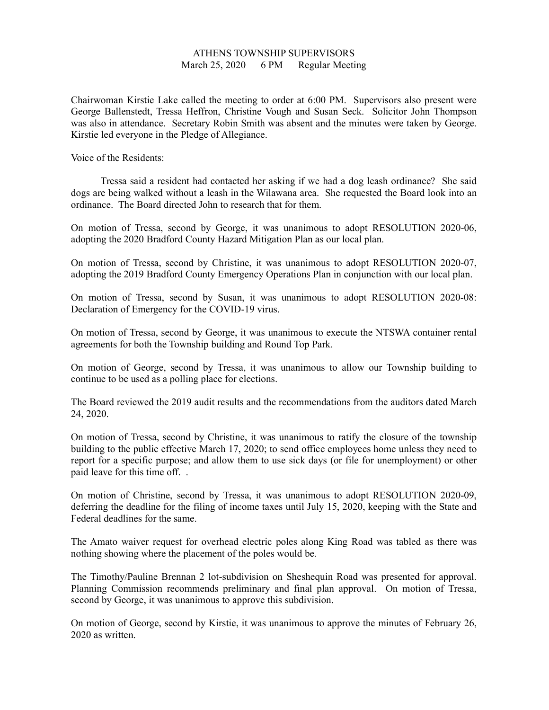## ATHENS TOWNSHIP SUPERVISORS March 25, 2020 6 PM Regular Meeting

Chairwoman Kirstie Lake called the meeting to order at 6:00 PM. Supervisors also present were George Ballenstedt, Tressa Heffron, Christine Vough and Susan Seck. Solicitor John Thompson was also in attendance. Secretary Robin Smith was absent and the minutes were taken by George. Kirstie led everyone in the Pledge of Allegiance.

Voice of the Residents:

 Tressa said a resident had contacted her asking if we had a dog leash ordinance? She said dogs are being walked without a leash in the Wilawana area. She requested the Board look into an ordinance. The Board directed John to research that for them.

On motion of Tressa, second by George, it was unanimous to adopt RESOLUTION 2020-06, adopting the 2020 Bradford County Hazard Mitigation Plan as our local plan.

On motion of Tressa, second by Christine, it was unanimous to adopt RESOLUTION 2020-07, adopting the 2019 Bradford County Emergency Operations Plan in conjunction with our local plan.

On motion of Tressa, second by Susan, it was unanimous to adopt RESOLUTION 2020-08: Declaration of Emergency for the COVID-19 virus.

On motion of Tressa, second by George, it was unanimous to execute the NTSWA container rental agreements for both the Township building and Round Top Park.

On motion of George, second by Tressa, it was unanimous to allow our Township building to continue to be used as a polling place for elections.

The Board reviewed the 2019 audit results and the recommendations from the auditors dated March 24, 2020.

On motion of Tressa, second by Christine, it was unanimous to ratify the closure of the township building to the public effective March 17, 2020; to send office employees home unless they need to report for a specific purpose; and allow them to use sick days (or file for unemployment) or other paid leave for this time off. .

On motion of Christine, second by Tressa, it was unanimous to adopt RESOLUTION 2020-09, deferring the deadline for the filing of income taxes until July 15, 2020, keeping with the State and Federal deadlines for the same.

The Amato waiver request for overhead electric poles along King Road was tabled as there was nothing showing where the placement of the poles would be.

The Timothy/Pauline Brennan 2 lot-subdivision on Sheshequin Road was presented for approval. Planning Commission recommends preliminary and final plan approval. On motion of Tressa, second by George, it was unanimous to approve this subdivision.

On motion of George, second by Kirstie, it was unanimous to approve the minutes of February 26, 2020 as written.